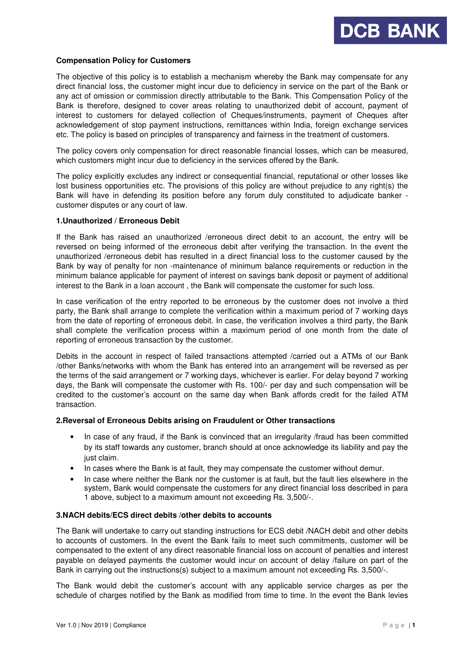# **Compensation Policy for Customers**

The objective of this policy is to establish a mechanism whereby the Bank may compensate for any direct financial loss, the customer might incur due to deficiency in service on the part of the Bank or any act of omission or commission directly attributable to the Bank. This Compensation Policy of the Bank is therefore, designed to cover areas relating to unauthorized debit of account, payment of interest to customers for delayed collection of Cheques/instruments, payment of Cheques after acknowledgement of stop payment instructions, remittances within India, foreign exchange services etc. The policy is based on principles of transparency and fairness in the treatment of customers.

The policy covers only compensation for direct reasonable financial losses, which can be measured, which customers might incur due to deficiency in the services offered by the Bank.

The policy explicitly excludes any indirect or consequential financial, reputational or other losses like lost business opportunities etc. The provisions of this policy are without prejudice to any right(s) the Bank will have in defending its position before any forum duly constituted to adjudicate banker customer disputes or any court of law.

# **1.Unauthorized / Erroneous Debit**

If the Bank has raised an unauthorized /erroneous direct debit to an account, the entry will be reversed on being informed of the erroneous debit after verifying the transaction. In the event the unauthorized /erroneous debit has resulted in a direct financial loss to the customer caused by the Bank by way of penalty for non -maintenance of minimum balance requirements or reduction in the minimum balance applicable for payment of interest on savings bank deposit or payment of additional interest to the Bank in a loan account , the Bank will compensate the customer for such loss.

In case verification of the entry reported to be erroneous by the customer does not involve a third party, the Bank shall arrange to complete the verification within a maximum period of 7 working days from the date of reporting of erroneous debit. In case, the verification involves a third party, the Bank shall complete the verification process within a maximum period of one month from the date of reporting of erroneous transaction by the customer.

Debits in the account in respect of failed transactions attempted /carried out a ATMs of our Bank /other Banks/networks with whom the Bank has entered into an arrangement will be reversed as per the terms of the said arrangement or 7 working days, whichever is earlier. For delay beyond 7 working days, the Bank will compensate the customer with Rs. 100/- per day and such compensation will be credited to the customer's account on the same day when Bank affords credit for the failed ATM transaction.

#### **2.Reversal of Erroneous Debits arising on Fraudulent or Other transactions**

- In case of any fraud, if the Bank is convinced that an irregularity /fraud has been committed by its staff towards any customer, branch should at once acknowledge its liability and pay the just claim.
- In cases where the Bank is at fault, they may compensate the customer without demur.
- In case where neither the Bank nor the customer is at fault, but the fault lies elsewhere in the system, Bank would compensate the customers for any direct financial loss described in para 1 above, subject to a maximum amount not exceeding Rs. 3,500/-.

#### **3.NACH debits/ECS direct debits /other debits to accounts**

The Bank will undertake to carry out standing instructions for ECS debit /NACH debit and other debits to accounts of customers. In the event the Bank fails to meet such commitments, customer will be compensated to the extent of any direct reasonable financial loss on account of penalties and interest payable on delayed payments the customer would incur on account of delay /failure on part of the Bank in carrying out the instructions(s) subject to a maximum amount not exceeding Rs. 3,500/-.

The Bank would debit the customer's account with any applicable service charges as per the schedule of charges notified by the Bank as modified from time to time. In the event the Bank levies

**DCB BANK**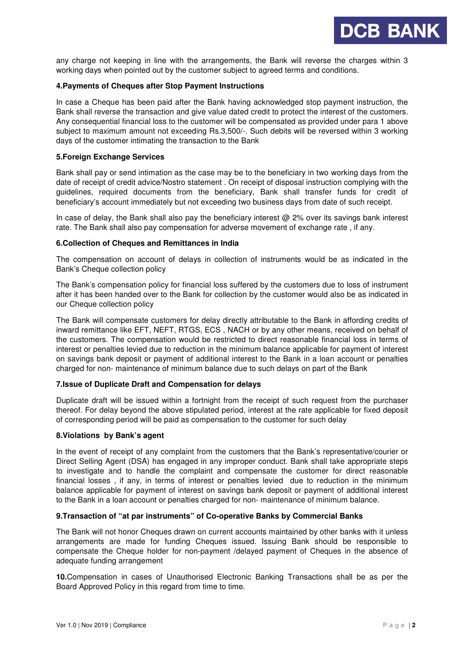

any charge not keeping in line with the arrangements, the Bank will reverse the charges within 3 working days when pointed out by the customer subject to agreed terms and conditions.

# **4.Payments of Cheques after Stop Payment Instructions**

In case a Cheque has been paid after the Bank having acknowledged stop payment instruction, the Bank shall reverse the transaction and give value dated credit to protect the interest of the customers. Any consequential financial loss to the customer will be compensated as provided under para 1 above subject to maximum amount not exceeding Rs.3,500/-. Such debits will be reversed within 3 working days of the customer intimating the transaction to the Bank

# **5.Foreign Exchange Services**

Bank shall pay or send intimation as the case may be to the beneficiary in two working days from the date of receipt of credit advice/Nostro statement . On receipt of disposal instruction complying with the guidelines, required documents from the beneficiary, Bank shall transfer funds for credit of beneficiary's account immediately but not exceeding two business days from date of such receipt.

In case of delay, the Bank shall also pay the beneficiary interest  $@$  2% over its savings bank interest rate. The Bank shall also pay compensation for adverse movement of exchange rate , if any.

#### **6.Collection of Cheques and Remittances in India**

The compensation on account of delays in collection of instruments would be as indicated in the Bank's Cheque collection policy

The Bank's compensation policy for financial loss suffered by the customers due to loss of instrument after it has been handed over to the Bank for collection by the customer would also be as indicated in our Cheque collection policy

The Bank will compensate customers for delay directly attributable to the Bank in affording credits of inward remittance like EFT, NEFT, RTGS, ECS , NACH or by any other means, received on behalf of the customers. The compensation would be restricted to direct reasonable financial loss in terms of interest or penalties levied due to reduction in the minimum balance applicable for payment of interest on savings bank deposit or payment of additional interest to the Bank in a loan account or penalties charged for non- maintenance of minimum balance due to such delays on part of the Bank

#### **7.Issue of Duplicate Draft and Compensation for delays**

Duplicate draft will be issued within a fortnight from the receipt of such request from the purchaser thereof. For delay beyond the above stipulated period, interest at the rate applicable for fixed deposit of corresponding period will be paid as compensation to the customer for such delay

#### **8.Violations by Bank's agent**

In the event of receipt of any complaint from the customers that the Bank's representative/courier or Direct Selling Agent (DSA) has engaged in any improper conduct. Bank shall take appropriate steps to investigate and to handle the complaint and compensate the customer for direct reasonable financial losses , if any, in terms of interest or penalties levied due to reduction in the minimum balance applicable for payment of interest on savings bank deposit or payment of additional interest to the Bank in a loan account or penalties charged for non- maintenance of minimum balance.

# **9.Transaction of "at par instruments" of Co-operative Banks by Commercial Banks**

The Bank will not honor Cheques drawn on current accounts maintained by other banks with it unless arrangements are made for funding Cheques issued. Issuing Bank should be responsible to compensate the Cheque holder for non-payment /delayed payment of Cheques in the absence of adequate funding arrangement

**10.**Compensation in cases of Unauthorised Electronic Banking Transactions shall be as per the Board Approved Policy in this regard from time to time.